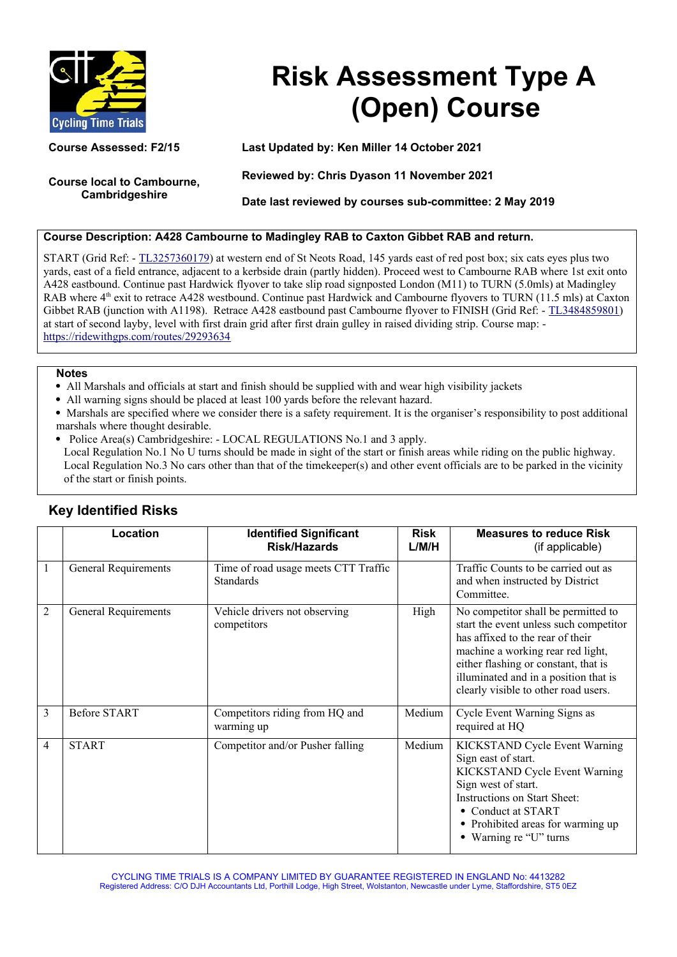

# **Risk Assessment Type A (Open) Course**

**Course local to Cambourne, Cambridgeshire**

**Course Assessed: F2/15 Last Updated by: Ken Miller 14 October 2021**

**Reviewed by: Chris Dyason 11 November 2021**

**Date last reviewed by courses sub-committee: 2 May 2019**

## **Course Description: A428 Cambourne to Madingley RAB to Caxton Gibbet RAB and return.**

START (Grid Ref: - [TL3257360179\)](https://gridreferencefinder.com/) at western end of St Neots Road, 145 yards east of red post box; six cats eyes plus two yards, east of a field entrance, adjacent to a kerbside drain (partly hidden). Proceed west to Cambourne RAB where 1st exit onto A428 eastbound. Continue past Hardwick flyover to take slip road signposted London (M11) to TURN (5.0mls) at Madingley RAB where 4<sup>th</sup> exit to retrace A428 westbound. Continue past Hardwick and Cambourne flyovers to TURN (11.5 mls) at Caxton Gibbet RAB (junction with A1198). Retrace A428 eastbound past Cambourne flyover to FINISH (Grid Ref: - [TL3484859801\)](https://gridreferencefinder.com/) at start of second layby, level with first drain grid after first drain gulley in raised dividing strip. Course map: <https://ridewithgps.com/routes/29293634>

#### **Notes**

- All Marshals and officials at start and finish should be supplied with and wear high visibility jackets
- All warning signs should be placed at least 100 yards before the relevant hazard.
- Marshals are specified where we consider there is a safety requirement. It is the organiser's responsibility to post additional marshals where thought desirable.
- Police Area(s) Cambridgeshire: LOCAL REGULATIONS No.1 and 3 apply.

Local Regulation No.1 No U turns should be made in sight of the start or finish areas while riding on the public highway. Local Regulation No.3 No cars other than that of the time keeper(s) and other event officials are to be parked in the vicinity of the start or finish points.

|   | Location                    | <b>Identified Significant</b><br><b>Risk/Hazards</b>     | <b>Risk</b><br>L/M/H | <b>Measures to reduce Risk</b><br>(if applicable)                                                                                                                                                                                                                               |
|---|-----------------------------|----------------------------------------------------------|----------------------|---------------------------------------------------------------------------------------------------------------------------------------------------------------------------------------------------------------------------------------------------------------------------------|
| 1 | <b>General Requirements</b> | Time of road usage meets CTT Traffic<br><b>Standards</b> |                      | Traffic Counts to be carried out as<br>and when instructed by District<br>Committee.                                                                                                                                                                                            |
| 2 | <b>General Requirements</b> | Vehicle drivers not observing<br>competitors             | High                 | No competitor shall be permitted to<br>start the event unless such competitor<br>has affixed to the rear of their<br>machine a working rear red light,<br>either flashing or constant, that is<br>illuminated and in a position that is<br>clearly visible to other road users. |
| 3 | <b>Before START</b>         | Competitors riding from HQ and<br>warming up             | Medium               | Cycle Event Warning Signs as<br>required at HQ                                                                                                                                                                                                                                  |
| 4 | <b>START</b>                | Competitor and/or Pusher falling                         | Medium               | KICKSTAND Cycle Event Warning<br>Sign east of start.<br>KICKSTAND Cycle Event Warning<br>Sign west of start.<br>Instructions on Start Sheet:<br>• Conduct at START<br>• Prohibited areas for warming up<br>Warning re "U" turns                                                 |

## **Key Identified Risks**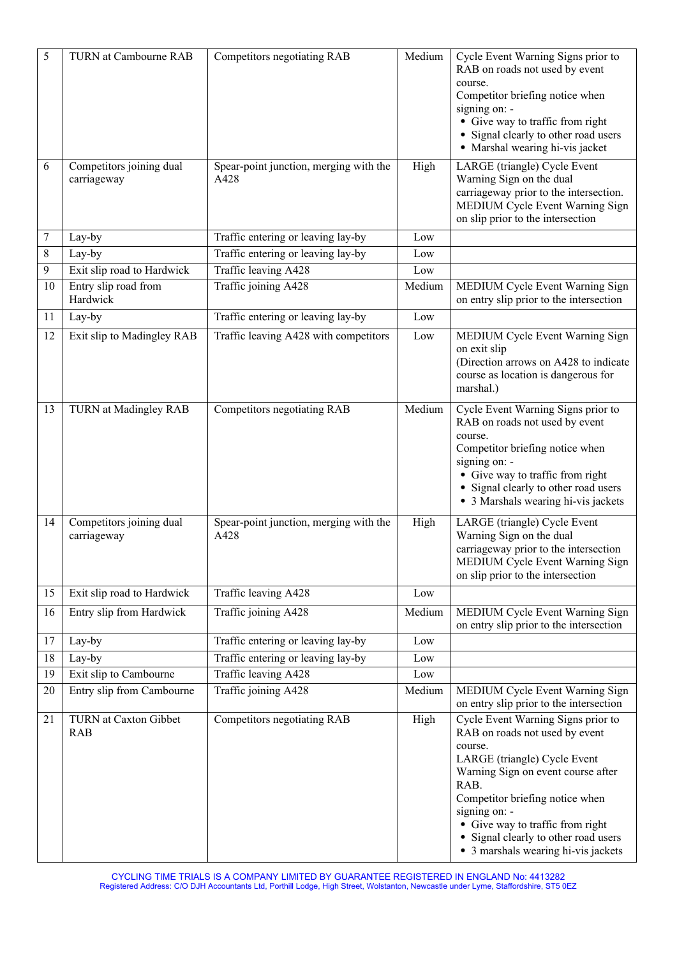| 5  | <b>TURN</b> at Cambourne RAB            | Competitors negotiating RAB                    | Medium       | Cycle Event Warning Signs prior to<br>RAB on roads not used by event<br>course.<br>Competitor briefing notice when<br>signing on: -<br>• Give way to traffic from right<br>• Signal clearly to other road users<br>• Marshal wearing hi-vis jacket                                                                                   |
|----|-----------------------------------------|------------------------------------------------|--------------|--------------------------------------------------------------------------------------------------------------------------------------------------------------------------------------------------------------------------------------------------------------------------------------------------------------------------------------|
| 6  | Competitors joining dual<br>carriageway | Spear-point junction, merging with the<br>A428 | High         | LARGE (triangle) Cycle Event<br>Warning Sign on the dual<br>carriageway prior to the intersection.<br>MEDIUM Cycle Event Warning Sign<br>on slip prior to the intersection                                                                                                                                                           |
| 7  | Lay-by                                  | Traffic entering or leaving lay-by             | Low          |                                                                                                                                                                                                                                                                                                                                      |
| 8  | Lay-by                                  | Traffic entering or leaving lay-by             | Low          |                                                                                                                                                                                                                                                                                                                                      |
| 9  | Exit slip road to Hardwick              | Traffic leaving A428                           | Low          |                                                                                                                                                                                                                                                                                                                                      |
| 10 | Entry slip road from<br>Hardwick        | Traffic joining A428                           | Medium       | MEDIUM Cycle Event Warning Sign<br>on entry slip prior to the intersection                                                                                                                                                                                                                                                           |
| 11 | Lay-by                                  | Traffic entering or leaving lay-by             | Low          |                                                                                                                                                                                                                                                                                                                                      |
| 12 | Exit slip to Madingley RAB              | Traffic leaving A428 with competitors          | Low          | MEDIUM Cycle Event Warning Sign<br>on exit slip<br>(Direction arrows on A428 to indicate<br>course as location is dangerous for<br>marshal.)                                                                                                                                                                                         |
| 13 | TURN at Madingley RAB                   | Competitors negotiating RAB                    | Medium       | Cycle Event Warning Signs prior to<br>RAB on roads not used by event<br>course.<br>Competitor briefing notice when<br>signing on: -<br>• Give way to traffic from right<br>• Signal clearly to other road users<br>• 3 Marshals wearing hi-vis jackets                                                                               |
| 14 | Competitors joining dual<br>carriageway | Spear-point junction, merging with the<br>A428 | High         | LARGE (triangle) Cycle Event<br>Warning Sign on the dual<br>carriageway prior to the intersection<br>MEDIUM Cycle Event Warning Sign<br>on slip prior to the intersection                                                                                                                                                            |
| 15 | Exit slip road to Hardwick              | Traffic leaving A428                           | Low          |                                                                                                                                                                                                                                                                                                                                      |
| 16 | Entry slip from Hardwick                | Traffic joining A428                           | Medium       | MEDIUM Cycle Event Warning Sign<br>on entry slip prior to the intersection                                                                                                                                                                                                                                                           |
| 17 | Lay-by                                  | Traffic entering or leaving lay-by             | $_{\rm Low}$ |                                                                                                                                                                                                                                                                                                                                      |
| 18 | Lay-by                                  | Traffic entering or leaving lay-by             | Low          |                                                                                                                                                                                                                                                                                                                                      |
| 19 | Exit slip to Cambourne                  | Traffic leaving A428                           | Low          |                                                                                                                                                                                                                                                                                                                                      |
| 20 | Entry slip from Cambourne               | Traffic joining A428                           | Medium       | MEDIUM Cycle Event Warning Sign<br>on entry slip prior to the intersection                                                                                                                                                                                                                                                           |
| 21 | TURN at Caxton Gibbet<br><b>RAB</b>     | Competitors negotiating RAB                    | High         | Cycle Event Warning Signs prior to<br>RAB on roads not used by event<br>course.<br>LARGE (triangle) Cycle Event<br>Warning Sign on event course after<br>RAB.<br>Competitor briefing notice when<br>signing on: -<br>• Give way to traffic from right<br>• Signal clearly to other road users<br>• 3 marshals wearing hi-vis jackets |

CYCLING TIME TRIALS IS A COMPANY LIMITED BY GUARANTEE REGISTERED IN ENGLAND No: 4413282 Registered Address: C/O DJH Accountants Ltd, Porthill Lodge, High Street, Wolstanton, Newcastle under Lyme, Staffordshire, ST5 0EZ